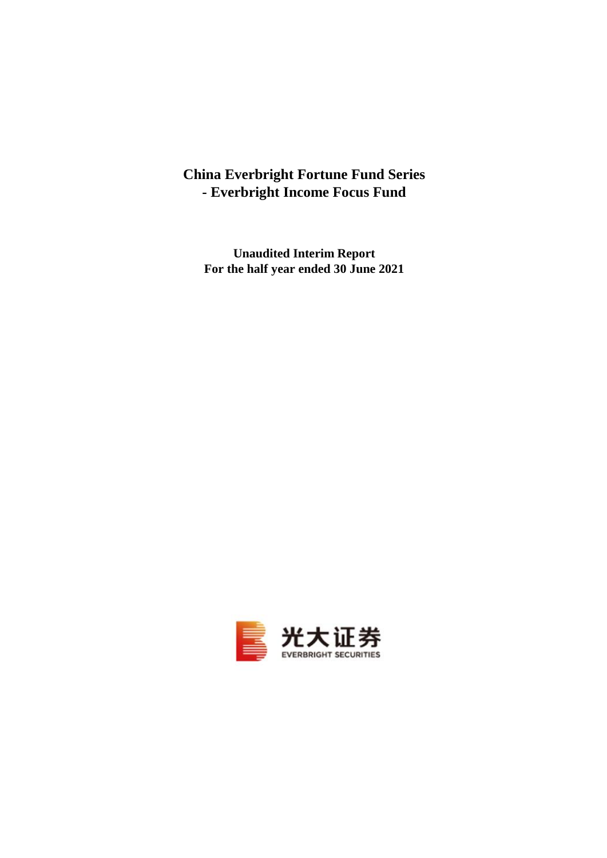# **China Everbright Fortune Fund Series - Everbright Income Focus Fund**

**Unaudited Interim Report For the half year ended 30 June 2021**

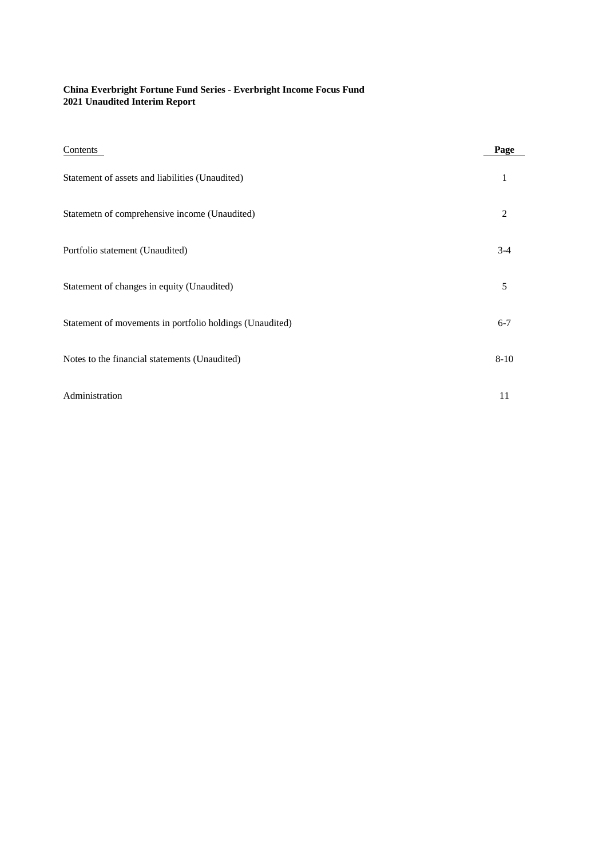### **China Everbright Fortune Fund Series - Everbright Income Focus Fund 2021 Unaudited Interim Report**

| Contents                                                 | Page         |
|----------------------------------------------------------|--------------|
| Statement of assets and liabilities (Unaudited)          | $\mathbf{1}$ |
| Statemetn of comprehensive income (Unaudited)            | 2            |
| Portfolio statement (Unaudited)                          | $3 - 4$      |
| Statement of changes in equity (Unaudited)               | 5            |
| Statement of movements in portfolio holdings (Unaudited) | $6 - 7$      |
| Notes to the financial statements (Unaudited)            | $8 - 10$     |
| Administration                                           | 11           |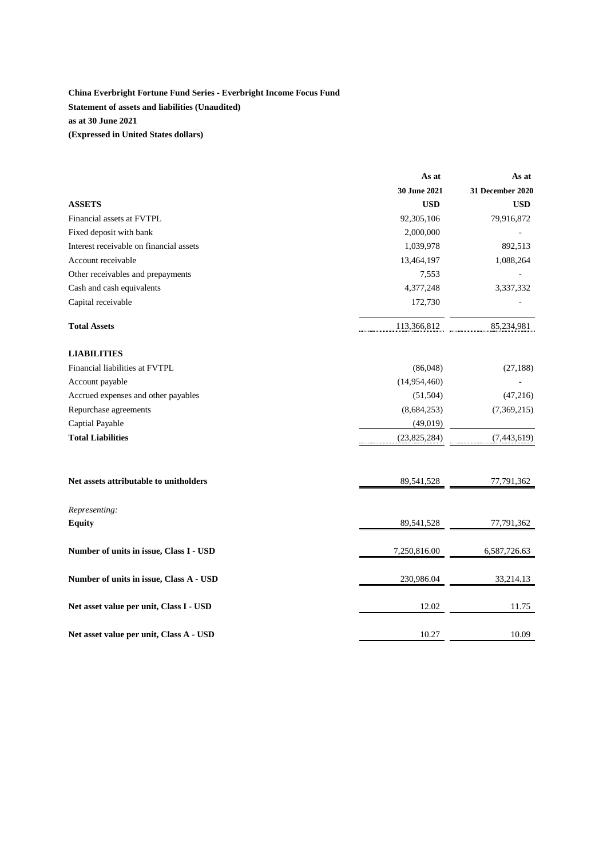### **China Everbright Fortune Fund Series - Everbright Income Focus Fund Statement of assets and liabilities (Unaudited) as at 30 June 2021 (Expressed in United States dollars)**

|                                         | As at        | As at            |
|-----------------------------------------|--------------|------------------|
|                                         | 30 June 2021 | 31 December 2020 |
| <b>ASSETS</b>                           | <b>USD</b>   | <b>USD</b>       |
| Financial assets at FVTPL               | 92,305,106   | 79,916,872       |
| Fixed deposit with bank                 | 2,000,000    |                  |
| Interest receivable on financial assets | 1,039,978    | 892,513          |
| Account receivable                      | 13,464,197   | 1,088,264        |
| Other receivables and prepayments       | 7,553        |                  |
| Cash and cash equivalents               | 4,377,248    | 3,337,332        |
| Capital receivable                      | 172,730      |                  |
| <b>Total Assets</b>                     | 113,366,812  | 85,234,981       |
| <b>LIABILITIES</b>                      |              |                  |
| Financial liabilities at FVTPL          | (86,048)     | (27, 188)        |
| Account payable                         | (14,954,460) |                  |
| Accrued expenses and other payables     | (51, 504)    | (47,216)         |
| Repurchase agreements                   | (8,684,253)  | (7,369,215)      |
| Captial Payable                         | (49,019)     |                  |
| <b>Total Liabilities</b>                | (23,825,284) | (7,443,619)      |
| Net assets attributable to unitholders  | 89,541,528   | 77,791,362       |
| Representing:                           |              |                  |
| <b>Equity</b>                           | 89,541,528   | 77,791,362       |
| Number of units in issue, Class I - USD | 7,250,816.00 | 6,587,726.63     |
| Number of units in issue, Class A - USD | 230,986.04   | 33,214.13        |
| Net asset value per unit, Class I - USD | 12.02        | 11.75            |
| Net asset value per unit, Class A - USD | 10.27        | 10.09            |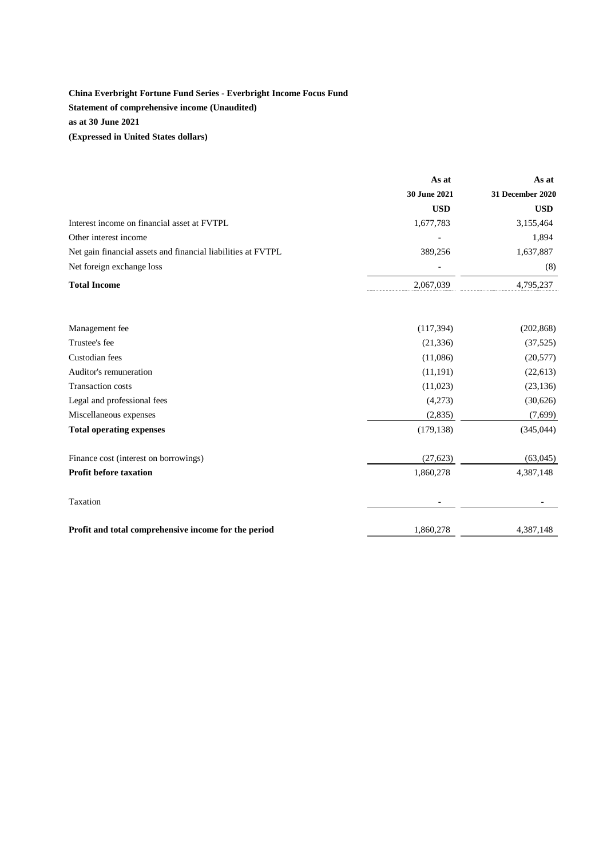## **China Everbright Fortune Fund Series - Everbright Income Focus Fund Statement of comprehensive income (Unaudited) as at 30 June 2021 (Expressed in United States dollars)**

|                                                              | As at        | As at                   |
|--------------------------------------------------------------|--------------|-------------------------|
|                                                              | 30 June 2021 | <b>31 December 2020</b> |
|                                                              | <b>USD</b>   | <b>USD</b>              |
| Interest income on financial asset at FVTPL                  | 1,677,783    | 3,155,464               |
| Other interest income                                        |              | 1,894                   |
| Net gain financial assets and financial liabilities at FVTPL | 389,256      | 1,637,887               |
| Net foreign exchange loss                                    |              | (8)                     |
| <b>Total Income</b>                                          | 2,067,039    | 4,795,237               |
| Management fee                                               | (117, 394)   | (202, 868)              |
| Trustee's fee                                                | (21, 336)    | (37, 525)               |
| Custodian fees                                               | (11,086)     | (20, 577)               |
| Auditor's remuneration                                       | (11, 191)    | (22, 613)               |
| <b>Transaction costs</b>                                     | (11,023)     | (23, 136)               |
| Legal and professional fees                                  | (4,273)      | (30,626)                |
| Miscellaneous expenses                                       | (2,835)      | (7,699)                 |
| <b>Total operating expenses</b>                              | (179, 138)   | (345,044)               |
| Finance cost (interest on borrowings)                        | (27, 623)    | (63,045)                |
| Profit before taxation                                       | 1,860,278    | 4,387,148               |
| Taxation                                                     |              |                         |
| Profit and total comprehensive income for the period         | 1,860,278    | 4,387,148               |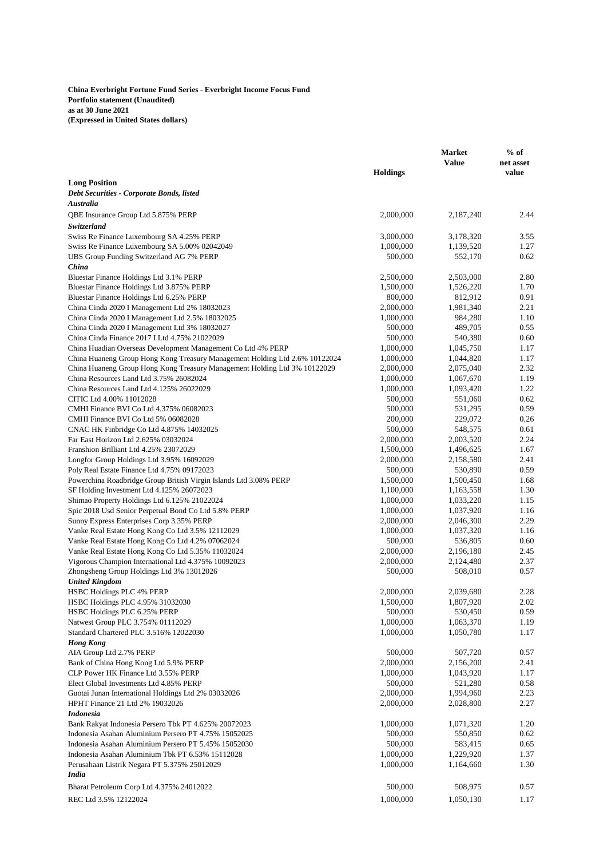**China Everbright Fortune Fund Series - Everbright Income Focus Fund Portfolio statement (Unaudited) as at 30 June 2021 (Expressed in United States dollars)**

|                                                                                                      |                        | <b>Market</b><br><b>Value</b> | $%$ of<br>net asset |
|------------------------------------------------------------------------------------------------------|------------------------|-------------------------------|---------------------|
|                                                                                                      | <b>Holdings</b>        |                               | value               |
| <b>Long Position</b>                                                                                 |                        |                               |                     |
| Debt Securities - Corporate Bonds, listed                                                            |                        |                               |                     |
| Australia                                                                                            |                        |                               |                     |
| QBE Insurance Group Ltd 5.875% PERP                                                                  | 2,000,000              | 2,187,240                     | 2.44                |
| Switzerland                                                                                          |                        |                               |                     |
| Swiss Re Finance Luxembourg SA 4.25% PERP                                                            | 3,000,000              | 3,178,320                     | 3.55                |
| Swiss Re Finance Luxembourg SA 5.00% 02042049                                                        | 1,000,000              | 1,139,520                     | 1.27                |
| UBS Group Funding Switzerland AG 7% PERP                                                             | 500,000                | 552,170                       | 0.62                |
| China                                                                                                |                        |                               |                     |
| Bluestar Finance Holdings Ltd 3.1% PERP<br>Bluestar Finance Holdings Ltd 3.875% PERP                 | 2,500,000              | 2,503,000                     | 2.80<br>1.70        |
| Bluestar Finance Holdings Ltd 6.25% PERP                                                             | 1,500,000<br>800,000   | 1,526,220<br>812,912          | 0.91                |
| China Cinda 2020 I Management Ltd 2% 18032023                                                        | 2,000,000              | 1,981,340                     | 2.21                |
| China Cinda 2020 I Management Ltd 2.5% 18032025                                                      | 1,000,000              | 984,280                       | 1.10                |
| China Cinda 2020 I Management Ltd 3% 18032027                                                        | 500,000                | 489,705                       | 0.55                |
| China Cinda Finance 2017 I Ltd 4.75% 21022029                                                        | 500,000                | 540,380                       | 0.60                |
| China Huadian Overseas Development Management Co Ltd 4% PERP                                         | 1,000,000              | 1,045,750                     | 1.17                |
| China Huaneng Group Hong Kong Treasury Management Holding Ltd 2.6% 10122024                          | 1,000,000              | 1,044,820                     | 1.17                |
| China Huaneng Group Hong Kong Treasury Management Holding Ltd 3% 10122029                            | 2,000,000              | 2,075,040                     | 2.32                |
| China Resources Land Ltd 3.75% 26082024                                                              | 1,000,000              | 1,067,670                     | 1.19                |
| China Resources Land Ltd 4.125% 26022029                                                             | 1,000,000              | 1,093,420                     | 1.22                |
| CITIC Ltd 4.00% 11012028                                                                             | 500,000                | 551,060                       | 0.62                |
| CMHI Finance BVI Co Ltd 4.375% 06082023                                                              | 500,000                | 531,295                       | 0.59                |
| CMHI Finance BVI Co Ltd 5% 06082028                                                                  | 200,000                | 229,072                       | 0.26                |
| CNAC HK Finbridge Co Ltd 4.875% 14032025                                                             | 500,000                | 548,575                       | 0.61                |
| Far East Horizon Ltd 2.625% 03032024                                                                 | 2,000,000              | 2,003,520                     | 2.24                |
| Franshion Brilliant Ltd 4.25% 23072029                                                               | 1,500,000              | 1,496,625                     | 1.67                |
| Longfor Group Holdings Ltd 3.95% 16092029                                                            | 2,000,000              | 2,158,580                     | 2.41                |
| Poly Real Estate Finance Ltd 4.75% 09172023                                                          | 500,000                | 530,890                       | 0.59                |
| Powerchina Roadbridge Group British Virgin Islands Ltd 3.08% PERP                                    | 1,500,000              | 1,500,450                     | 1.68                |
| SF Holding Investment Ltd 4.125% 26072023                                                            | 1,100,000              | 1,163,558                     | 1.30                |
| Shimao Property Holdings Ltd 6.125% 21022024                                                         | 1,000,000              | 1,033,220                     | 1.15                |
| Spic 2018 Usd Senior Perpetual Bond Co Ltd 5.8% PERP                                                 | 1,000,000              | 1,037,920                     | 1.16                |
| Sunny Express Enterprises Corp 3.35% PERP                                                            | 2,000,000              | 2,046,300                     | 2.29<br>1.16        |
| Vanke Real Estate Hong Kong Co Ltd 3.5% 12112029<br>Vanke Real Estate Hong Kong Co Ltd 4.2% 07062024 | 1,000,000<br>500,000   | 1,037,320<br>536,805          | 0.60                |
| Vanke Real Estate Hong Kong Co Ltd 5.35% 11032024                                                    | 2,000,000              | 2,196,180                     | 2.45                |
| Vigorous Champion International Ltd 4.375% 10092023                                                  | 2,000,000              | 2,124,480                     | 2.37                |
| Zhongsheng Group Holdings Ltd 3% 13012026                                                            | 500,000                | 508,010                       | 0.57                |
| <b>United Kingdom</b>                                                                                |                        |                               |                     |
| HSBC Holdings PLC 4% PERP                                                                            | 2,000,000              | 2,039,680                     | 2.28                |
| HSBC Holdings PLC 4.95% 31032030                                                                     | 1,500,000              | 1,807,920                     | 2.02                |
| HSBC Holdings PLC 6.25% PERP                                                                         | 500,000                | 530,450                       | 0.59                |
| Natwest Group PLC 3.754% 01112029                                                                    | 1,000,000              | 1,063,370                     | 1.19                |
| Standard Chartered PLC 3.516% 12022030                                                               | 1,000,000              | 1,050,780                     | 1.17                |
| <b>Hong Kong</b>                                                                                     |                        |                               |                     |
| AIA Group Ltd 2.7% PERP                                                                              | 500,000                | 507,720                       | 0.57                |
| Bank of China Hong Kong Ltd 5.9% PERP                                                                | 2,000,000              | 2,156,200                     | 2.41                |
| CLP Power HK Finance Ltd 3.55% PERP                                                                  | 1,000,000              | 1,043,920                     | 1.17                |
| Elect Global Investments Ltd 4.85% PERP                                                              | 500,000                | 521,280                       | 0.58                |
| Guotai Junan International Holdings Ltd 2% 03032026                                                  | 2,000,000              | 1,994,960                     | 2.23                |
| HPHT Finance 21 Ltd 2% 19032026                                                                      | 2,000,000              | 2,028,800                     | 2.27                |
| Indonesia                                                                                            |                        |                               |                     |
| Bank Rakyat Indonesia Persero Tbk PT 4.625% 20072023                                                 | 1,000,000              | 1,071,320                     | 1.20                |
| Indonesia Asahan Aluminium Persero PT 4.75% 15052025                                                 | 500,000                | 550,850                       | 0.62                |
| Indonesia Asahan Aluminium Persero PT 5.45% 15052030                                                 | 500,000                | 583,415                       | 0.65                |
| Indonesia Asahan Aluminium Tbk PT 6.53% 15112028                                                     | 1,000,000<br>1,000,000 | 1,229,920                     | 1.37<br>1.30        |
| Perusahaan Listrik Negara PT 5.375% 25012029<br>India                                                |                        | 1,164,660                     |                     |
|                                                                                                      |                        |                               |                     |
| Bharat Petroleum Corp Ltd 4.375% 24012022                                                            | 500,000                | 508,975                       | 0.57                |
| REC Ltd 3.5% 12122024                                                                                | 1,000,000              | 1,050,130                     | 1.17                |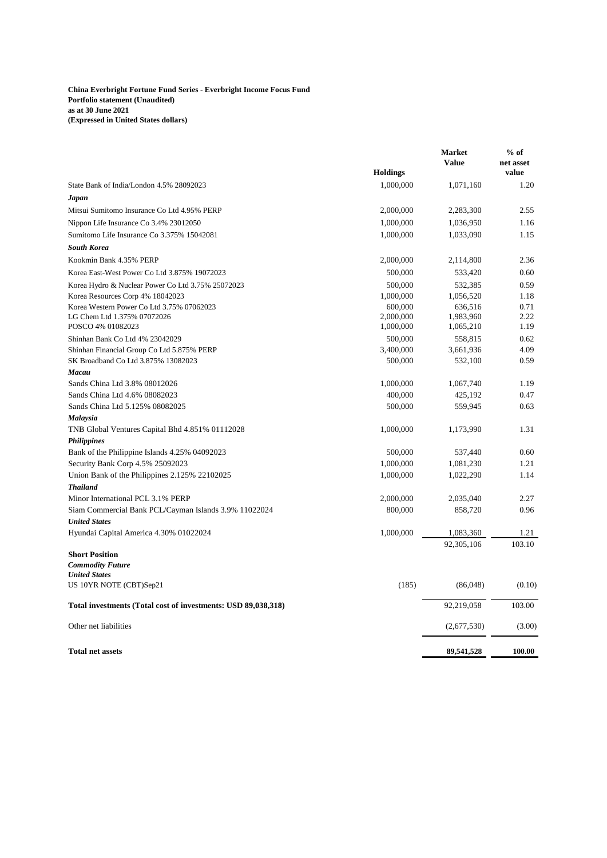### **China Everbright Fortune Fund Series - Everbright Income Focus Fund Portfolio statement (Unaudited) as at 30 June 2021 (Expressed in United States dollars)**

|                                                               | <b>Holdings</b> | <b>Market</b><br><b>Value</b> | $%$ of<br>net asset<br>value |
|---------------------------------------------------------------|-----------------|-------------------------------|------------------------------|
| State Bank of India/London 4.5% 28092023                      | 1,000,000       | 1,071,160                     | 1.20                         |
|                                                               |                 |                               |                              |
| Japan                                                         |                 |                               | 2.55                         |
| Mitsui Sumitomo Insurance Co Ltd 4.95% PERP                   | 2,000,000       | 2,283,300                     |                              |
| Nippon Life Insurance Co 3.4% 23012050                        | 1,000,000       | 1,036,950                     | 1.16                         |
| Sumitomo Life Insurance Co 3.375% 15042081                    | 1,000,000       | 1,033,090                     | 1.15                         |
| <b>South Korea</b>                                            |                 |                               |                              |
| Kookmin Bank 4.35% PERP                                       | 2,000,000       | 2,114,800                     | 2.36                         |
| Korea East-West Power Co Ltd 3.875% 19072023                  | 500,000         | 533,420                       | 0.60                         |
| Korea Hydro & Nuclear Power Co Ltd 3.75% 25072023             | 500,000         | 532,385                       | 0.59                         |
| Korea Resources Corp 4% 18042023                              | 1,000,000       | 1,056,520                     | 1.18                         |
| Korea Western Power Co Ltd 3.75% 07062023                     | 600,000         | 636,516                       | 0.71                         |
| LG Chem Ltd 1.375% 07072026                                   | 2,000,000       | 1,983,960                     | 2.22                         |
| POSCO 4% 01082023                                             | 1,000,000       | 1,065,210                     | 1.19                         |
| Shinhan Bank Co Ltd 4% 23042029                               | 500,000         | 558,815                       | 0.62                         |
| Shinhan Financial Group Co Ltd 5.875% PERP                    | 3,400,000       | 3,661,936                     | 4.09                         |
| SK Broadband Co Ltd 3.875% 13082023                           | 500,000         | 532,100                       | 0.59                         |
| Macau                                                         |                 |                               |                              |
| Sands China Ltd 3.8% 08012026                                 | 1,000,000       | 1,067,740                     | 1.19                         |
| Sands China Ltd 4.6% 08082023                                 | 400,000         | 425,192                       | 0.47                         |
| Sands China Ltd 5.125% 08082025                               | 500,000         | 559,945                       | 0.63                         |
| Malaysia                                                      |                 |                               |                              |
| TNB Global Ventures Capital Bhd 4.851% 01112028               | 1,000,000       | 1,173,990                     | 1.31                         |
| <b>Philippines</b>                                            |                 |                               |                              |
| Bank of the Philippine Islands 4.25% 04092023                 | 500,000         | 537,440                       | 0.60                         |
| Security Bank Corp 4.5% 25092023                              | 1,000,000       | 1,081,230                     | 1.21                         |
| Union Bank of the Philippines 2.125% 22102025                 | 1,000,000       | 1,022,290                     | 1.14                         |
| <b>Thailand</b>                                               |                 |                               |                              |
| Minor International PCL 3.1% PERP                             | 2,000,000       | 2,035,040                     | 2.27                         |
| Siam Commercial Bank PCL/Cayman Islands 3.9% 11022024         | 800,000         | 858,720                       | 0.96                         |
| <b>United States</b>                                          |                 |                               |                              |
| Hyundai Capital America 4.30% 01022024                        | 1,000,000       | 1,083,360                     | 1.21                         |
|                                                               |                 | 92,305,106                    | 103.10                       |
| <b>Short Position</b><br><b>Commodity Future</b>              |                 |                               |                              |
| <b>United States</b>                                          |                 |                               |                              |
| US 10YR NOTE (CBT)Sep21                                       | (185)           | (86,048)                      | (0.10)                       |
| Total investments (Total cost of investments: USD 89,038,318) |                 | 92,219,058                    | 103.00                       |
| Other net liabilities                                         |                 | (2,677,530)                   | (3.00)                       |
| <b>Total net assets</b>                                       |                 | 89,541,528                    | 100.00                       |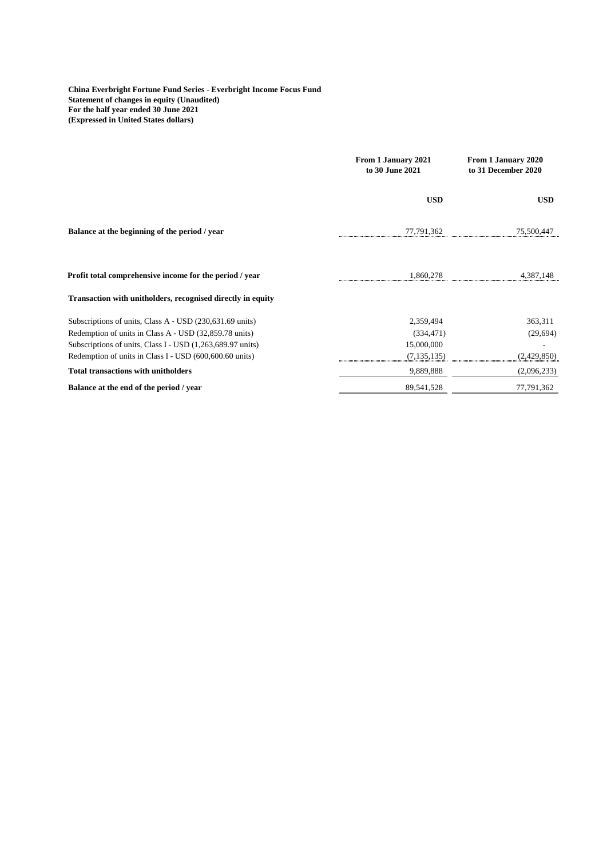**China Everbright Fortune Fund Series - Everbright Income Focus Fund Statement of changes in equity (Unaudited) For the half year ended 30 June 2021 (Expressed in United States dollars)**

|                                                                                                                                                                                                                                             | From 1 January 2021<br>to 30 June 2021                 | From 1 January 2020<br>to 31 December 2020 |  |
|---------------------------------------------------------------------------------------------------------------------------------------------------------------------------------------------------------------------------------------------|--------------------------------------------------------|--------------------------------------------|--|
|                                                                                                                                                                                                                                             | <b>USD</b>                                             | <b>USD</b>                                 |  |
| Balance at the beginning of the period / year                                                                                                                                                                                               | 77,791,362                                             | 75,500,447                                 |  |
| Profit total comprehensive income for the period / year                                                                                                                                                                                     | 1.860.278                                              | 4.387.148                                  |  |
| Transaction with unitholders, recognised directly in equity                                                                                                                                                                                 |                                                        |                                            |  |
| Subscriptions of units, Class A - USD (230,631.69 units)<br>Redemption of units in Class A - USD (32,859.78 units)<br>Subscriptions of units, Class I - USD (1,263,689.97 units)<br>Redemption of units in Class I - USD (600,600.60 units) | 2,359,494<br>(334, 471)<br>15,000,000<br>(7, 135, 135) | 363,311<br>(29,694)<br>(2,429,850)         |  |
| <b>Total transactions with unitholders</b>                                                                                                                                                                                                  | 9,889,888                                              | (2,096,233)                                |  |
| Balance at the end of the period / year                                                                                                                                                                                                     | 89,541,528                                             | 77,791,362                                 |  |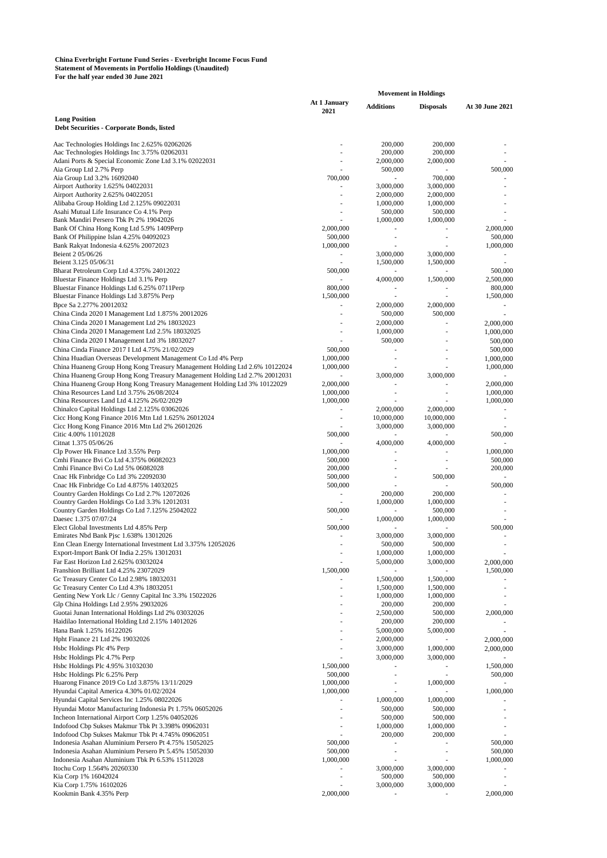#### **China Everbright Fortune Fund Series - Everbright Income Focus Fund Statement of Movements in Portfolio Holdings (Unaudited) For the half year ended 30 June 2021**

|                                                                                                                        | <b>Movement in Holdings</b> |                        |                                       |                          |
|------------------------------------------------------------------------------------------------------------------------|-----------------------------|------------------------|---------------------------------------|--------------------------|
|                                                                                                                        | At 1 January<br>2021        | <b>Additions</b>       | <b>Disposals</b>                      | At 30 June 2021          |
| <b>Long Position</b><br>Debt Securities - Corporate Bonds, listed                                                      |                             |                        |                                       |                          |
| Aac Technologies Holdings Inc 2.625% 02062026                                                                          |                             | 200,000                | 200,000                               |                          |
| Aac Technologies Holdings Inc 3.75% 02062031                                                                           |                             | 200,000                | 200,000                               |                          |
| Adani Ports & Special Economic Zone Ltd 3.1% 02022031                                                                  |                             | 2,000,000              | 2,000,000                             |                          |
| Aia Group Ltd 2.7% Perp                                                                                                |                             | 500,000                | ٠                                     | 500,000                  |
| Aia Group Ltd 3.2% 16092040                                                                                            | 700,000                     |                        | 700,000                               |                          |
| Airport Authority 1.625% 04022031                                                                                      |                             | 3,000,000              | 3,000,000                             |                          |
| Airport Authority 2.625% 04022051<br>Alibaba Group Holding Ltd 2.125% 09022031                                         |                             | 2,000,000<br>1,000,000 | 2,000,000<br>1,000,000                | $\overline{\phantom{a}}$ |
| Asahi Mutual Life Insurance Co 4.1% Perp                                                                               |                             | 500,000                | 500,000                               |                          |
| Bank Mandiri Persero Tbk Pt 2% 19042026                                                                                |                             | 1,000,000              | 1,000,000                             |                          |
| Bank Of China Hong Kong Ltd 5.9% 1409Perp                                                                              | 2,000,000                   |                        |                                       | 2,000,000                |
| Bank Of Philippine Islan 4.25% 04092023                                                                                | 500,000                     | ٠                      | ٠                                     | 500,000                  |
| Bank Rakyat Indonesia 4.625% 20072023                                                                                  | 1,000,000                   |                        | ÷                                     | 1,000,000                |
| Beient 2 05/06/26                                                                                                      |                             | 3,000,000              | 3,000,000                             |                          |
| Beient 3.125 05/06/31                                                                                                  |                             | 1,500,000              | 1,500,000                             | $\sim$                   |
| Bharat Petroleum Corp Ltd 4.375% 24012022<br>Bluestar Finance Holdings Ltd 3.1% Perp                                   | 500,000                     | ÷,<br>4,000,000        | $\overline{\phantom{m}}$<br>1,500,000 | 500,000<br>2,500,000     |
| Bluestar Finance Holdings Ltd 6.25% 0711Perp                                                                           | 800,000                     |                        |                                       | 800,000                  |
| Bluestar Finance Holdings Ltd 3.875% Perp                                                                              | 1,500,000                   | ä,                     | ä,                                    | 1,500,000                |
| Bpce Sa 2.277% 20012032                                                                                                | ä,                          | 2,000,000              | 2,000,000                             | $\sim$                   |
| China Cinda 2020 I Management Ltd 1.875% 20012026                                                                      |                             | 500,000                | 500,000                               |                          |
| China Cinda 2020 I Management Ltd 2% 18032023                                                                          |                             | 2,000,000              |                                       | 2,000,000                |
| China Cinda 2020 I Management Ltd 2.5% 18032025                                                                        |                             | 1,000,000              | ä,                                    | 1,000,000                |
| China Cinda 2020 I Management Ltd 3% 18032027                                                                          |                             | 500,000                |                                       | 500,000                  |
| China Cinda Finance 2017 I Ltd 4.75% 21/02/2029                                                                        | 500,000                     | ä,                     | ٠                                     | 500,000                  |
| China Huadian Overseas Development Management Co Ltd 4% Perp                                                           | 1,000,000                   | ÷,                     | ÷                                     | 1,000,000                |
| China Huaneng Group Hong Kong Treasury Management Holding Ltd 2.6% 10122024                                            | 1,000,000                   |                        |                                       | 1,000,000                |
| China Huaneng Group Hong Kong Treasury Management Holding Ltd 2.7% 20012031                                            | ä,                          | 3,000,000              | 3,000,000                             |                          |
| China Huaneng Group Hong Kong Treasury Management Holding Ltd 3% 10122029<br>China Resources Land Ltd 3.75% 26/08/2024 | 2,000,000                   | ٠                      | ٠                                     | 2,000,000                |
| China Resources Land Ltd 4.125% 26/02/2029                                                                             | 1,000,000<br>1,000,000      |                        |                                       | 1,000,000<br>1,000,000   |
| Chinalco Capital Holdings Ltd 2.125% 03062026                                                                          |                             | 2,000,000              | 2,000,000                             | $\sim$                   |
| Cicc Hong Kong Finance 2016 Mtn Ltd 1.625% 26012024                                                                    | ×,                          | 10,000,000             | 10,000,000                            | $\overline{\phantom{a}}$ |
| Cicc Hong Kong Finance 2016 Mtn Ltd 2% 26012026                                                                        |                             | 3,000,000              | 3,000,000                             | $\sim$                   |
| Citic 4.00% 11012028                                                                                                   | 500,000                     |                        |                                       | 500,000                  |
| Citnat 1.375 05/06/26                                                                                                  |                             | 4,000,000              | 4,000,000                             |                          |
| Clp Power Hk Finance Ltd 3.55% Perp                                                                                    | 1,000,000                   |                        |                                       | 1,000,000                |
| Cmhi Finance Bvi Co Ltd 4.375% 06082023                                                                                | 500,000                     | ٠                      | ٠                                     | 500,000                  |
| Cmhi Finance Bvi Co Ltd 5% 06082028<br>Cnac Hk Finbridge Co Ltd 3% 22092030                                            | 200,000<br>500,000          | ÷,                     | 500,000                               | 200,000<br>×.            |
| Cnac Hk Finbridge Co Ltd 4.875% 14032025                                                                               | 500,000                     |                        |                                       | 500,000                  |
| Country Garden Holdings Co Ltd 2.7% 12072026                                                                           |                             | 200,000                | 200,000                               |                          |
| Country Garden Holdings Co Ltd 3.3% 12012031                                                                           | $\sim$                      | 1,000,000              | 1,000,000                             | $\overline{\phantom{a}}$ |
| Country Garden Holdings Co Ltd 7.125% 25042022                                                                         | 500,000                     |                        | 500,000                               | $\overline{\phantom{a}}$ |
| Daesec 1.375 07/07/24                                                                                                  |                             | 1,000,000              | 1,000,000                             |                          |
| Elect Global Investments Ltd 4.85% Perp                                                                                | 500,000                     |                        | $\overline{\phantom{a}}$              | 500,000                  |
| Emirates Nbd Bank Pjsc 1.638% 13012026                                                                                 | ÷,                          | 3,000,000<br>500,000   | 3,000,000<br>500,000                  | $\sim$                   |
| Enn Clean Energy International Investment Ltd 3.375% 12052026<br>Export-Import Bank Of India 2.25% 13012031            |                             | 1,000,000              | 1,000,000                             |                          |
| Far East Horizon Ltd 2.625% 03032024                                                                                   |                             | 5,000,000              | 3,000,000                             | 2,000,000                |
| Franshion Brilliant Ltd 4.25% 23072029                                                                                 | 1,500,000                   |                        |                                       | 1,500,000                |
| Gc Treasury Center Co Ltd 2.98% 18032031                                                                               |                             | 1,500,000              | 1,500,000                             |                          |
| Gc Treasury Center Co Ltd 4.3% 18032051                                                                                |                             | 1,500,000              | 1,500,000                             |                          |
| Genting New York Llc / Genny Capital Inc 3.3% 15022026                                                                 |                             | 1,000,000              | 1,000,000                             |                          |
| Glp China Holdings Ltd 2.95% 29032026                                                                                  |                             | 200,000                | 200,000                               |                          |
| Guotai Junan International Holdings Ltd 2% 03032026                                                                    |                             | 2,500,000              | 500,000                               | 2,000,000                |
| Haidilao International Holding Ltd 2.15% 14012026                                                                      |                             | 200,000                | 200,000                               |                          |
| Hana Bank 1.25% 16122026                                                                                               |                             | 5,000,000              | 5,000,000                             |                          |
| Hpht Finance 21 Ltd 2% 19032026                                                                                        |                             | 2,000,000<br>3,000,000 |                                       | 2,000,000                |
| Hsbc Holdings Plc 4% Perp<br>Hsbc Holdings Plc 4.7% Perp                                                               |                             | 3,000,000              | 1,000,000                             | 2,000,000                |
| Hsbc Holdings Plc 4.95% 31032030                                                                                       | 1,500,000                   | ä,                     | 3,000,000                             | 1,500,000                |
| Hsbc Holdings Plc 6.25% Perp                                                                                           | 500,000                     |                        |                                       | 500,000                  |
| Huarong Finance 2019 Co Ltd 3.875% 13/11/2029                                                                          | 1,000,000                   |                        | 1,000,000                             |                          |
| Hyundai Capital America 4.30% 01/02/2024                                                                               | 1,000,000                   |                        |                                       | 1,000,000                |
| Hyundai Capital Services Inc 1.25% 08022026                                                                            |                             | 1,000,000              | 1,000,000                             |                          |
| Hyundai Motor Manufacturing Indonesia Pt 1.75% 06052026                                                                |                             | 500,000                | 500,000                               |                          |
| Incheon International Airport Corp 1.25% 04052026                                                                      |                             | 500,000                | 500,000                               |                          |
| Indofood Cbp Sukses Makmur Tbk Pt 3.398% 09062031                                                                      |                             | 1,000,000              | 1,000,000                             | $\overline{\phantom{m}}$ |
| Indofood Cbp Sukses Makmur Tbk Pt 4.745% 09062051                                                                      |                             | 200,000                | 200,000                               |                          |
| Indonesia Asahan Aluminium Persero Pt 4.75% 15052025<br>Indonesia Asahan Aluminium Persero Pt 5.45% 15052030           | 500,000<br>500,000          | ÷,                     | ÷.                                    | 500,000<br>500,000       |
| Indonesia Asahan Aluminium Tbk Pt 6.53% 15112028                                                                       | 1,000,000                   |                        |                                       | 1,000,000                |
| Itochu Corp 1.564% 20260330                                                                                            |                             | 3,000,000              | 3,000,000                             |                          |
| Kia Corp 1% 16042024                                                                                                   | ٠                           | 500,000                | 500,000                               |                          |
| Kia Corp 1.75% 16102026                                                                                                |                             | 3,000,000              | 3,000,000                             |                          |
| Kookmin Bank 4.35% Perp                                                                                                | 2,000,000                   |                        |                                       | 2,000,000                |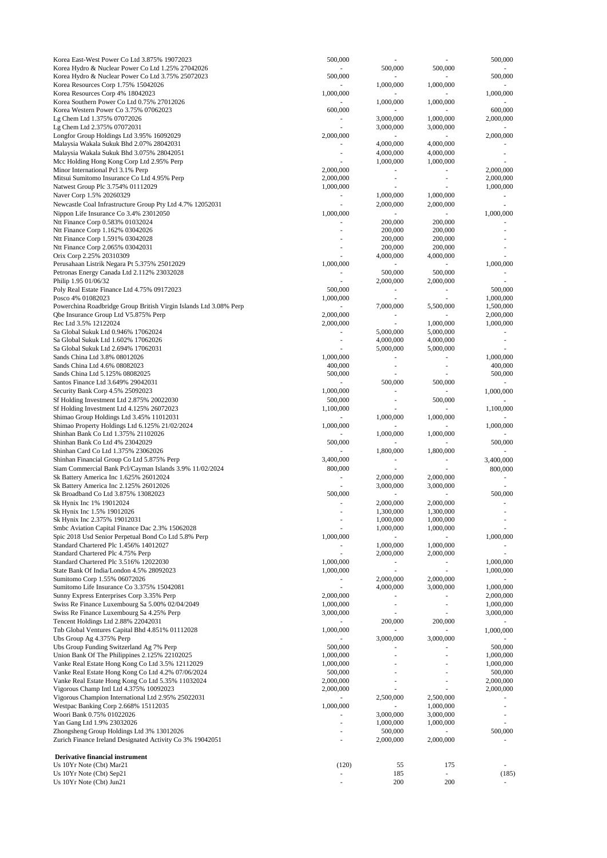| Korea East-West Power Co Ltd 3.875% 19072023                             | 500,000                  |                |                          | 500,000                  |
|--------------------------------------------------------------------------|--------------------------|----------------|--------------------------|--------------------------|
| Korea Hydro & Nuclear Power Co Ltd 1.25% 27042026                        | ٠                        | 500,000        | 500,000                  | $\overline{\phantom{a}}$ |
| Korea Hydro & Nuclear Power Co Ltd 3.75% 25072023                        | 500,000                  |                |                          | 500,000                  |
| Korea Resources Corp 1.75% 15042026                                      |                          | 1,000,000      | 1,000,000                |                          |
| Korea Resources Corp 4% 18042023                                         | 1,000,000                |                |                          | 1,000,000                |
| Korea Southern Power Co Ltd 0.75% 27012026                               |                          | 1,000,000      | 1,000,000                |                          |
| Korea Western Power Co 3.75% 07062023                                    | 600,000                  |                |                          | 600,000                  |
| Lg Chem Ltd 1.375% 07072026                                              |                          | 3,000,000      | 1,000,000                | 2,000,000                |
| Lg Chem Ltd 2.375% 07072031                                              |                          | 3,000,000      | 3,000,000                |                          |
| Longfor Group Holdings Ltd 3.95% 16092029                                | 2,000,000                |                |                          | 2,000,000                |
| Malaysia Wakala Sukuk Bhd 2.07% 28042031                                 |                          | 4,000,000      | 4,000,000                |                          |
| Malaysia Wakala Sukuk Bhd 3.075% 28042051                                | $\overline{\phantom{m}}$ | 4,000,000      | 4,000,000                |                          |
| Mcc Holding Hong Kong Corp Ltd 2.95% Perp                                |                          | 1,000,000      | 1,000,000                |                          |
| Minor International Pcl 3.1% Perp                                        | 2,000,000                |                |                          | 2,000,000                |
| Mitsui Sumitomo Insurance Co Ltd 4.95% Perp                              | 2,000,000                |                |                          | 2,000,000                |
| Natwest Group Plc 3.754% 01112029                                        | 1,000,000                |                |                          | 1,000,000                |
| Naver Corp 1.5% 20260329                                                 | $\overline{\phantom{0}}$ | 1,000,000      | 1,000,000                |                          |
|                                                                          |                          | 2,000,000      |                          |                          |
| Newcastle Coal Infrastructure Group Pty Ltd 4.7% 12052031                |                          |                | 2,000,000                |                          |
| Nippon Life Insurance Co 3.4% 23012050                                   | 1,000,000                |                |                          | 1,000,000                |
| Ntt Finance Corp 0.583% 01032024                                         |                          | 200,000        | 200,000                  |                          |
| Ntt Finance Corp 1.162% 03042026                                         |                          | 200,000        | 200,000                  |                          |
| Ntt Finance Corp 1.591% 03042028                                         |                          | 200,000        | 200,000                  |                          |
| Ntt Finance Corp 2.065% 03042031                                         |                          | 200,000        | 200,000                  |                          |
| Orix Corp 2.25% 20310309                                                 |                          | 4,000,000      | 4,000,000                |                          |
| Perusahaan Listrik Negara Pt 5.375% 25012029                             | 1,000,000                |                |                          | 1,000,000                |
| Petronas Energy Canada Ltd 2.112% 23032028                               |                          | 500,000        | 500,000                  |                          |
| Philip 1.95 01/06/32                                                     |                          | 2,000,000      | 2,000,000                |                          |
| Poly Real Estate Finance Ltd 4.75% 09172023                              | 500,000                  | ÷,             | $\overline{\phantom{a}}$ | 500,000                  |
| Posco 4% 01082023                                                        | 1,000,000                |                |                          | 1,000,000                |
| Powerchina Roadbridge Group British Virgin Islands Ltd 3.08% Perp        |                          | 7,000,000      | 5,500,000                | 1,500,000                |
| Qbe Insurance Group Ltd V5.875% Perp                                     | 2,000,000                |                |                          | 2,000,000                |
| Rec Ltd 3.5% 12122024                                                    | 2,000,000                |                | 1,000,000                | 1,000,000                |
| Sa Global Sukuk Ltd 0.946% 17062024                                      | $\overline{\phantom{a}}$ | 5,000,000      | 5,000,000                |                          |
| Sa Global Sukuk Ltd 1.602% 17062026                                      | $\overline{\phantom{m}}$ | 4,000,000      | 4,000,000                | $\overline{\phantom{a}}$ |
| Sa Global Sukuk Ltd 2.694% 17062031                                      |                          | 5,000,000      | 5,000,000                |                          |
| Sands China Ltd 3.8% 08012026                                            | 1,000,000                |                |                          | 1,000,000                |
| Sands China Ltd 4.6% 08082023                                            | 400,000                  | ×,             |                          | 400,000                  |
| Sands China Ltd 5.125% 08082025                                          | 500,000                  |                |                          | 500,000                  |
| Santos Finance Ltd 3.649% 29042031                                       |                          | 500,000        | 500,000                  |                          |
| Security Bank Corp 4.5% 25092023                                         | 1,000,000                |                |                          | 1,000,000                |
|                                                                          |                          |                |                          |                          |
| Sf Holding Investment Ltd 2.875% 20022030                                | 500,000                  |                | 500,000                  |                          |
| Sf Holding Investment Ltd 4.125% 26072023                                | 1,100,000                |                |                          | 1,100,000                |
| Shimao Group Holdings Ltd 3.45% 11012031                                 |                          | 1,000,000      | 1,000,000                |                          |
| Shimao Property Holdings Ltd 6.125% 21/02/2024                           | 1,000,000                |                |                          | 1,000,000                |
| Shinhan Bank Co Ltd 1.375% 21102026                                      |                          | 1,000,000      | 1,000,000                |                          |
| Shinhan Bank Co Ltd 4% 23042029                                          | 500,000                  |                |                          | 500,000                  |
| Shinhan Card Co Ltd 1.375% 23062026                                      |                          | 1,800,000      | 1,800,000                |                          |
| Shinhan Financial Group Co Ltd 5.875% Perp                               | 3,400,000                |                |                          | 3,400,000                |
| Siam Commercial Bank Pcl/Cayman Islands 3.9% 11/02/2024                  | 800,000                  |                |                          | 800,000                  |
| Sk Battery America Inc 1.625% 26012024                                   | -                        | 2,000,000      | 2,000,000                |                          |
| Sk Battery America Inc 2.125% 26012026                                   |                          | 3,000,000      | 3,000,000                |                          |
| Sk Broadband Co Ltd 3.875% 13082023                                      | 500,000                  |                |                          | 500,000                  |
| Sk Hynix Inc 1% 19012024                                                 | ×.                       | 2,000,000      | 2,000,000                |                          |
| Sk Hynix Inc 1.5% 19012026                                               |                          | 1,300,000      | 1,300,000                |                          |
| Sk Hynix Inc 2.375% 19012031                                             | $\overline{\phantom{a}}$ | 1,000,000      | 1,000,000                | $\overline{\phantom{a}}$ |
| Smbc Aviation Capital Finance Dac 2.3% 15062028                          |                          | 1,000,000      | 1,000,000                |                          |
| Spic 2018 Usd Senior Perpetual Bond Co Ltd 5.8% Perp                     | 1,000,000                |                |                          | 1,000,000                |
| Standard Chartered Plc 1.456% 14012027                                   |                          | 1,000,000      | 1,000,000                |                          |
| Standard Chartered Plc 4.75% Perp                                        | ٠                        | 2,000,000      | 2,000,000                | $\overline{\phantom{a}}$ |
| Standard Chartered Plc 3.516% 12022030                                   | 1,000,000                |                |                          | 1,000,000                |
|                                                                          |                          |                |                          |                          |
| State Bank Of India/London 4.5% 28092023<br>Sumitomo Corp 1.55% 06072026 | 1,000,000                | ٠<br>2,000,000 | 2,000,000                | 1,000,000                |
|                                                                          |                          |                |                          |                          |
| Sumitomo Life Insurance Co 3.375% 15042081                               |                          | 4,000,000      | 3,000,000                | 1,000,000                |
| Sunny Express Enterprises Corp 3.35% Perp                                | 2,000,000                |                |                          | 2,000,000                |
| Swiss Re Finance Luxembourg Sa 5.00% 02/04/2049                          | 1,000,000                | ٠              |                          | 1,000,000                |
| Swiss Re Finance Luxembourg Sa 4.25% Perp                                | 3,000,000                |                |                          | 3,000,000                |
| Tencent Holdings Ltd 2.88% 22042031                                      |                          | 200,000        | 200,000                  |                          |
| Tnb Global Ventures Capital Bhd 4.851% 01112028                          | 1,000,000                |                |                          | 1,000,000                |
| Ubs Group Ag 4.375% Perp                                                 |                          | 3,000,000      | 3,000,000                |                          |
| Ubs Group Funding Switzerland Ag 7% Perp                                 | 500,000                  |                |                          | 500,000                  |
| Union Bank Of The Philippines 2.125% 22102025                            | 1,000,000                |                |                          | 1,000,000                |
| Vanke Real Estate Hong Kong Co Ltd 3.5% 12112029                         | 1,000,000                |                |                          | 1,000,000                |
| Vanke Real Estate Hong Kong Co Ltd 4.2% 07/06/2024                       | 500,000                  |                |                          | 500,000                  |
| Vanke Real Estate Hong Kong Co Ltd 5.35% 11032024                        | 2,000,000                |                |                          | 2,000,000                |
| Vigorous Champ Intl Ltd 4.375% 10092023                                  | 2,000,000                |                |                          | 2,000,000                |
| Vigorous Champion International Ltd 2.95% 25022031                       |                          | 2,500,000      | 2,500,000                |                          |
| Westpac Banking Corp 2.668% 15112035                                     | 1,000,000                |                | 1,000,000                | $\overline{\phantom{a}}$ |
| Woori Bank 0.75% 01022026                                                |                          | 3,000,000      | 3,000,000                |                          |
| Yan Gang Ltd 1.9% 23032026                                               |                          | 1,000,000      | 1,000,000                |                          |
| Zhongsheng Group Holdings Ltd 3% 13012026                                |                          | 500,000        |                          | 500,000                  |
| Zurich Finance Ireland Designated Activity Co 3% 19042051                |                          | 2,000,000      | 2,000,000                |                          |
|                                                                          |                          |                |                          |                          |
| Derivative financial instrument                                          |                          |                |                          |                          |
| Us 10Yr Note (Cbt) Mar21                                                 | (120)                    | 55             | 175                      |                          |
| Us 10Yr Note (Cbt) Sep21                                                 |                          | 185            |                          | (185)                    |
| Us 10Yr Note (Cbt) Jun21                                                 |                          | 200            | 200                      |                          |
|                                                                          |                          |                |                          |                          |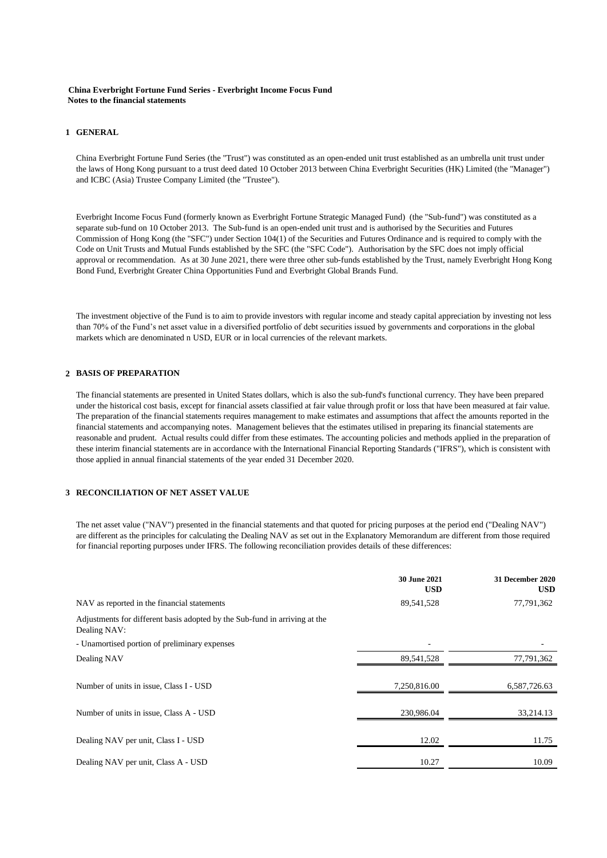### **China Everbright Fortune Fund Series - Everbright Income Focus Fund Notes to the financial statements**

### **1 GENERAL**

China Everbright Fortune Fund Series (the "Trust") was constituted as an open-ended unit trust established as an umbrella unit trust under the laws of Hong Kong pursuant to a trust deed dated 10 October 2013 between China Everbright Securities (HK) Limited (the "Manager") and ICBC (Asia) Trustee Company Limited (the "Trustee").

Everbright Income Focus Fund (formerly known as Everbright Fortune Strategic Managed Fund) (the "Sub-fund") was constituted as a separate sub-fund on 10 October 2013. The Sub-fund is an open-ended unit trust and is authorised by the Securities and Futures Commission of Hong Kong (the "SFC") under Section 104(1) of the Securities and Futures Ordinance and is required to comply with the Code on Unit Trusts and Mutual Funds established by the SFC (the "SFC Code"). Authorisation by the SFC does not imply official approval or recommendation. As at 30 June 2021, there were three other sub-funds established by the Trust, namely Everbright Hong Kong Bond Fund, Everbright Greater China Opportunities Fund and Everbright Global Brands Fund.

The investment objective of the Fund is to aim to provide investors with regular income and steady capital appreciation by investing not less than 70% of the Fund's net asset value in a diversified portfolio of debt securities issued by governments and corporations in the global markets which are denominated n USD, EUR or in local currencies of the relevant markets.

### **2 BASIS OF PREPARATION**

The financial statements are presented in United States dollars, which is also the sub-fund's functional currency. They have been prepared under the historical cost basis, except for financial assets classified at fair value through profit or loss that have been measured at fair value. The preparation of the financial statements requires management to make estimates and assumptions that affect the amounts reported in the financial statements and accompanying notes. Management believes that the estimates utilised in preparing its financial statements are reasonable and prudent. Actual results could differ from these estimates. The accounting policies and methods applied in the preparation of these interim financial statements are in accordance with the International Financial Reporting Standards ("IFRS"), which is consistent with those applied in annual financial statements of the year ended 31 December 2020.

### **3 RECONCILIATION OF NET ASSET VALUE**

The net asset value ("NAV") presented in the financial statements and that quoted for pricing purposes at the period end ("Dealing NAV") are different as the principles for calculating the Dealing NAV as set out in the Explanatory Memorandum are different from those required for financial reporting purposes under IFRS. The following reconciliation provides details of these differences:

|                                                                                            | <b>30 June 2021</b><br><b>USD</b> | 31 December 2020<br><b>USD</b> |
|--------------------------------------------------------------------------------------------|-----------------------------------|--------------------------------|
| NAV as reported in the financial statements                                                | 89,541,528                        | 77,791,362                     |
| Adjustments for different basis adopted by the Sub-fund in arriving at the<br>Dealing NAV: |                                   |                                |
| - Unamortised portion of preliminary expenses                                              |                                   |                                |
| Dealing NAV                                                                                | 89,541,528                        | 77,791,362                     |
| Number of units in issue, Class I - USD                                                    | 7,250,816.00                      | 6,587,726.63                   |
| Number of units in issue, Class A - USD                                                    | 230,986.04                        | 33,214.13                      |
| Dealing NAV per unit, Class I - USD                                                        | 12.02                             | 11.75                          |
| Dealing NAV per unit, Class A - USD                                                        | 10.27                             | 10.09                          |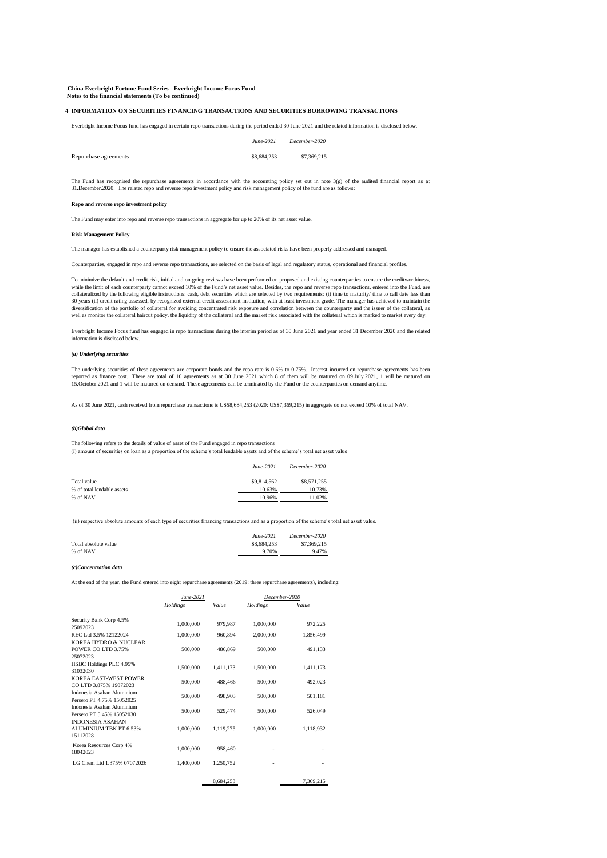**China Everbright Fortune Fund Series - Everbright Income Focus Fund Notes to the financial statements (To be continued)**

#### **4 INFORMATION ON SECURITIES FINANCING TRANSACTIONS AND SECURITIES BORROWING TRANSACTIONS**

Everbright Income Focus fund has engaged in certain repo transactions during the period ended 30 June 2021 and the related information is disclosed below.

*June-2021 December-2020*

Repurchase agreements \$8,684,253 \$7,369,215

The Fund has recognised the repurchase agreements in accordance with the accounting policy set out in note 3(g) of the audited financial report as at<br>31.December.2020. The related repo and reverse repo investment policy an

#### **Repo and reverse repo investment policy**

The Fund may enter into repo and reverse repo transactions in aggregate for up to 20% of its net asset value.

#### **Risk Management Policy**

The manager has established a counterparty risk management policy to ensure the associated risks have been properly addressed and managed.

Counterparties, engaged in repo and reverse repo transactions, are selected on the basis of legal and regulatory status, operational and financial profiles.

To minimize the default and credit risk, initial and on-going reviews have been performed on proposed and existing counterparties to ensure the creditworthiness, while the limit of each counterparty cannot exceed 10% of the Fund's net asset value. Besides, the repo and reverse repo transactions, entered into the Fund, are collateralized by the following eligible instructions: cash, debt securities which are selected by two requirements: (i) time to maturity/ time to call date less than 30 years (ii) credit rating assessed, by recognized external credit assessment institution, with at least investment grade. The manager has achieved to maintain the diversification of the portfolio of collateral for avoiding concentrated risk exposure and correlation between the counterparty and the issuer of the collateral, as<br>well as monitor the collateral haircut policy, the liquid

Everbright Income Focus fund has engaged in repo transactions during the interim period as of 30 June 2021 and year ended 31 December 2020 and the related information is disclosed below.

#### *(a) Underlying securities*

The underlying securities of these agreements are corporate bonds and the repo rate is 0.6% to 0.75%. Interest incurred on repurchase agreements has been<br>reported as finance cost. There are total of 10 agreements as at 30 15.October.2021 and 1 will be matured on demand. These agreements can be terminated by the Fund or the counterparties on demand anytime.

As of 30 June 2021, cash received from repurchase transactions is US\$8,684,253 (2020: US\$7,369,215) in aggregate do not exceed 10% of total NAV.

#### *(b)Global data*

The following refers to the details of value of asset of the Fund engaged in repo transactions (i) amount of securities on loan as a proportion of the scheme's total lendable assets and of the scheme's total net asset value

|                            | June-2021   | December-2020 |
|----------------------------|-------------|---------------|
| Total value                | \$9,814,562 | \$8,571,255   |
| % of total lendable assets | 10.63%      | 10.73%        |
| % of NAV                   | 10.96%      | 11.02%        |

(ii) respective absolute amounts of each type of securities financing transactions and as a proportion of the scheme's total net asset value.

|                      | $June-2021$ | December-2020 |
|----------------------|-------------|---------------|
| Total absolute value | \$8,684,253 | \$7,369,215   |
| % of NAV             | 9.70%       | 9.47%         |

#### *(c)Concentration data*

At the end of the year, the Fund entered into eight repurchase agreements (2019: three repurchase agreements), including:

|                                                               | June-2021       |           |                 |           | December-2020 |  |
|---------------------------------------------------------------|-----------------|-----------|-----------------|-----------|---------------|--|
|                                                               | <b>Holdings</b> | Value     | <b>Holdings</b> | Value     |               |  |
| Security Bank Corp 4.5%<br>25092023                           | 1,000,000       | 979.987   | 1.000.000       | 972.225   |               |  |
| REC Ltd 3.5% 12122024                                         | 1,000,000       | 960,894   | 2,000,000       | 1,856,499 |               |  |
| KOREA HYDRO & NUCLEAR<br>POWER CO LTD 3.75%<br>25072023       | 500,000         | 486,869   | 500,000         | 491,133   |               |  |
| HSBC Holdings PLC 4.95%<br>31032030                           | 1,500,000       | 1.411.173 | 1.500.000       | 1,411,173 |               |  |
| KOREA EAST-WEST POWER<br>CO LTD 3.875% 19072023               | 500,000         | 488,466   | 500,000         | 492.023   |               |  |
| Indonesia Asahan Aluminium<br>Persero PT 4.75% 15052025       | 500,000         | 498,903   | 500,000         | 501,181   |               |  |
| Indonesia Asahan Aluminium<br>Persero PT 5.45% 15052030       | 500,000         | 529,474   | 500,000         | 526,049   |               |  |
| <b>INDONESIA ASAHAN</b><br>ALUMINIUM TBK PT 6.53%<br>15112028 | 1,000,000       | 1.119.275 | 1,000,000       | 1,118,932 |               |  |
| Korea Resources Corp 4%<br>18042023                           | 1,000,000       | 958,460   |                 |           |               |  |
| LG Chem Ltd 1.375% 07072026                                   | 1,400,000       | 1,250,752 |                 |           |               |  |
|                                                               |                 | 8.684.253 |                 | 7.369.215 |               |  |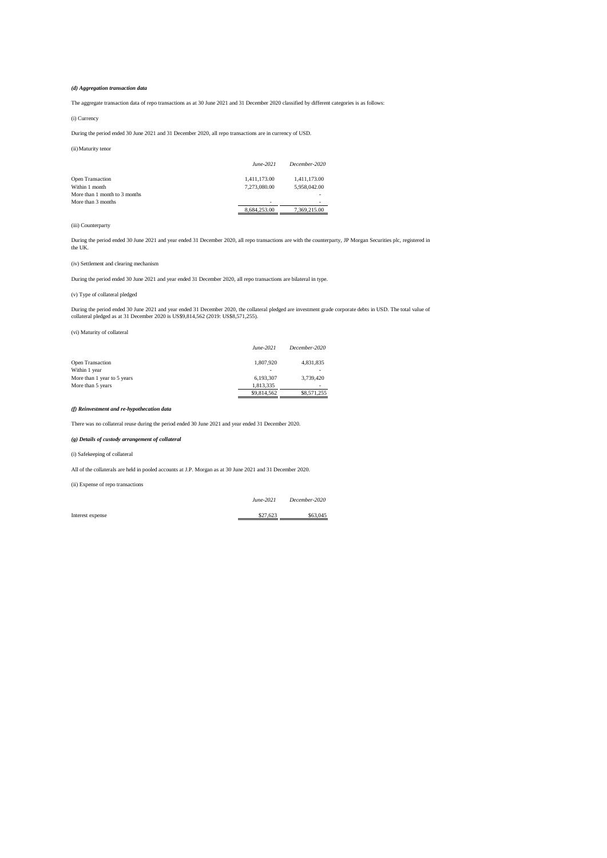#### *(d) Aggregation transaction data*

The aggregate transaction data of repo transactions as at 30 June 2021 and 31 December 2020 classified by different categories is as follows:

#### (i) Currency

During the period ended 30 June 2021 and 31 December 2020, all repo transactions are in currency of USD.

#### (ii)Maturity tenor

|                               | June-2021    | December-2020 |
|-------------------------------|--------------|---------------|
| <b>Open Transaction</b>       | 1.411.173.00 | 1.411.173.00  |
| Within 1 month                | 7.273.080.00 | 5,958,042.00  |
| More than 1 month to 3 months |              | -             |
| More than 3 months            | ۰            | -             |
|                               | 8.684.253.00 | 7.369.215.00  |

#### (iii) Counterparty

During the period ended 30 June 2021 and year ended 31 December 2020, all repo transactions are with the counterparty, JP Morgan Securities plc, registered in the UK.

#### (iv) Settlement and clearing mechanism

During the period ended 30 June 2021 and year ended 31 December 2020, all repo transactions are bilateral in type.

### (v) Type of collateral pledged

During the period ended 30 June 2021 and year ended 31 December 2020, the collateral pledged are investment grade corporate debts in USD. The total value of<br>collateral pledged as at 31 December 2020 is US\$9,814,562 (2019:

(vi) Maturity of collateral

|                             | June-2021   | December-2020            |
|-----------------------------|-------------|--------------------------|
| <b>Open Transaction</b>     | 1.807.920   | 4,831,835                |
| Within 1 year               | $\sim$      | -                        |
| More than 1 year to 5 years | 6.193.307   | 3.739.420                |
| More than 5 years           | 1.813.335   | $\overline{\phantom{a}}$ |
|                             | \$9,814.562 | \$8,571,255              |

#### *(f) Reinvestment and re-hypothecation data*

There was no collateral reuse during the period ended 30 June 2021 and year ended 31 December 2020.

#### *(g) Details of custody arrangement of collateral*

(i) Safekeeping of collateral

All of the collaterals are held in pooled accounts at J.P. Morgan as at 30 June 2021 and 31 December 2020.

(ii) Expense of repo transactions

*June-2021 December-2020*

Interest expense  $\frac{$27,623}{1000}$   $\frac{$63,045}{1000}$